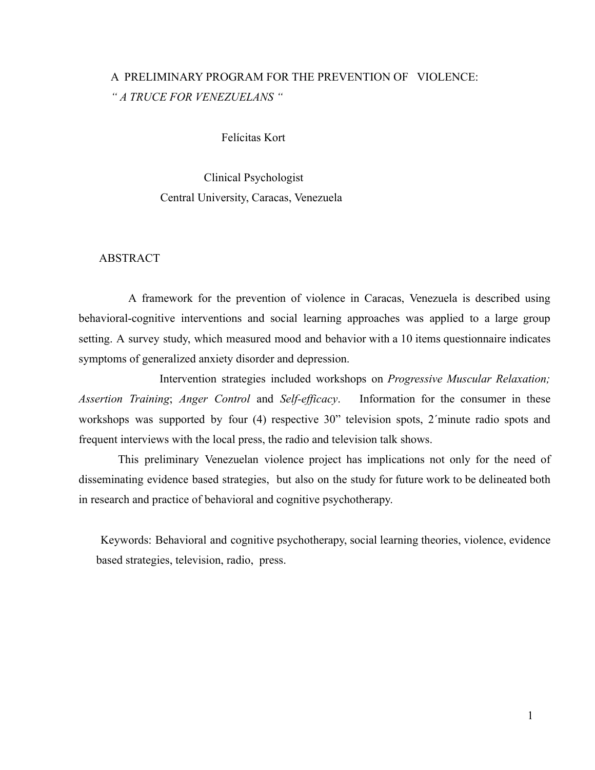# A PRELIMINARY PROGRAM FOR THE PREVENTION OF VIOLENCE: *" A TRUCE FOR VENEZUELANS "*

## Felícitas Kort

Clinical Psychologist Central University, Caracas, Venezuela

# ABSTRACT

A framework for the prevention of violence in Caracas, Venezuela is described using behavioral-cognitive interventions and social learning approaches was applied to a large group setting. A survey study, which measured mood and behavior with a 10 items questionnaire indicates symptoms of generalized anxiety disorder and depression.

Intervention strategies included workshops on *Progressive Muscular Relaxation; Assertion Training*; *Anger Control* and *Self-efficacy*. Information for the consumer in these workshops was supported by four (4) respective 30" television spots, 2´minute radio spots and frequent interviews with the local press, the radio and television talk shows.

This preliminary Venezuelan violence project has implications not only for the need of disseminating evidence based strategies, but also on the study for future work to be delineated both in research and practice of behavioral and cognitive psychotherapy.

Keywords: Behavioral and cognitive psychotherapy, social learning theories, violence, evidence based strategies, television, radio, press.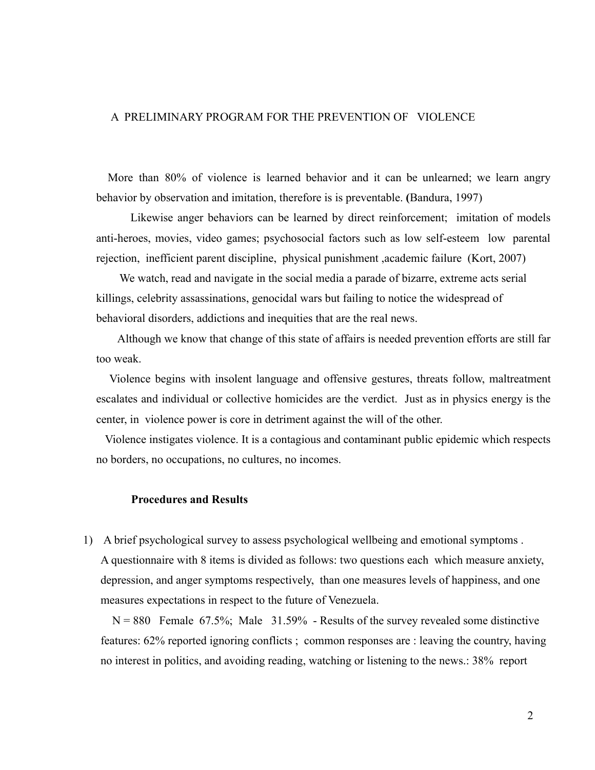# A PRELIMINARY PROGRAM FOR THE PREVENTION OF VIOLENCE

More than 80% of violence is learned behavior and it can be unlearned; we learn angry behavior by observation and imitation, therefore is is preventable. **(**Bandura, 1997)

Likewise anger behaviors can be learned by direct reinforcement; imitation of models anti-heroes, movies, video games; psychosocial factors such as low self-esteem low parental rejection, inefficient parent discipline, physical punishment ,academic failure (Kort, 2007)

We watch, read and navigate in the social media a parade of bizarre, extreme acts serial killings, celebrity assassinations, genocidal wars but failing to notice the widespread of behavioral disorders, addictions and inequities that are the real news.

Although we know that change of this state of affairs is needed prevention efforts are still far too weak.

Violence begins with insolent language and offensive gestures, threats follow, maltreatment escalates and individual or collective homicides are the verdict. Just as in physics energy is the center, in violence power is core in detriment against the will of the other.

Violence instigates violence. It is a contagious and contaminant public epidemic which respects no borders, no occupations, no cultures, no incomes.

# **Procedures and Results**

1) A brief psychological survey to assess psychological wellbeing and emotional symptoms . A questionnaire with 8 items is divided as follows: two questions each which measure anxiety, depression, and anger symptoms respectively, than one measures levels of happiness, and one measures expectations in respect to the future of Venezuela.

 $N = 880$  Female 67.5%; Male 31.59% - Results of the survey revealed some distinctive features: 62% reported ignoring conflicts ; common responses are : leaving the country, having no interest in politics, and avoiding reading, watching or listening to the news.: 38% report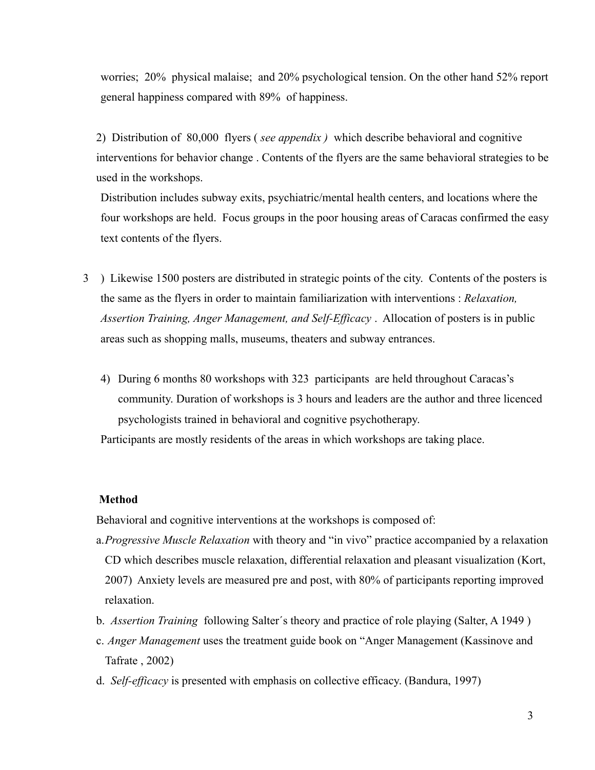worries; 20% physical malaise; and 20% psychological tension. On the other hand 52% report general happiness compared with 89% of happiness.

2) Distribution of 80,000 flyers ( *see appendix )* which describe behavioral and cognitive interventions for behavior change . Contents of the flyers are the same behavioral strategies to be used in the workshops.

Distribution includes subway exits, psychiatric/mental health centers, and locations where the four workshops are held. Focus groups in the poor housing areas of Caracas confirmed the easy text contents of the flyers.

- 3 ) Likewise 1500 posters are distributed in strategic points of the city. Contents of the posters is the same as the flyers in order to maintain familiarization with interventions : *Relaxation, Assertion Training, Anger Management, and Self-Efficacy* . Allocation of posters is in public areas such as shopping malls, museums, theaters and subway entrances.
	- 4) During 6 months 80 workshops with 323 participants are held throughout Caracas's community. Duration of workshops is 3 hours and leaders are the author and three licenced psychologists trained in behavioral and cognitive psychotherapy.

Participants are mostly residents of the areas in which workshops are taking place.

# **Method**

Behavioral and cognitive interventions at the workshops is composed of:

- a.*Progressive Muscle Relaxation* with theory and "in vivo" practice accompanied by a relaxation CD which describes muscle relaxation, differential relaxation and pleasant visualization (Kort, 2007) Anxiety levels are measured pre and post, with 80% of participants reporting improved relaxation.
- b. *Assertion Training* following Salter´s theory and practice of role playing (Salter, A 1949 )
- c. *Anger Management* uses the treatment guide book on "Anger Management (Kassinove and Tafrate , 2002)
- d. *Self-efficacy* is presented with emphasis on collective efficacy. (Bandura, 1997)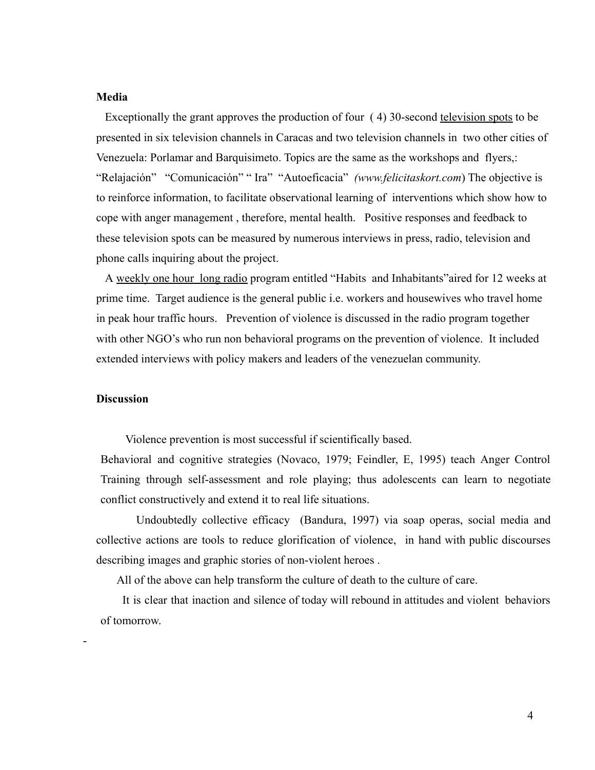### **Media**

Exceptionally the grant approves the production of four (4) 30-second television spots to be presented in six television channels in Caracas and two television channels in two other cities of Venezuela: Porlamar and Barquisimeto. Topics are the same as the workshops and flyers,: "Relajación" "Comunicación" " Ira" "Autoeficacia" *(www.felicitaskort.com*) The objective is to reinforce information, to facilitate observational learning of interventions which show how to cope with anger management , therefore, mental health. Positive responses and feedback to these television spots can be measured by numerous interviews in press, radio, television and phone calls inquiring about the project.

A weekly one hour long radio program entitled "Habits and Inhabitants"aired for 12 weeks at prime time. Target audience is the general public i.e. workers and housewives who travel home in peak hour traffic hours. Prevention of violence is discussed in the radio program together with other NGO's who run non behavioral programs on the prevention of violence. It included extended interviews with policy makers and leaders of the venezuelan community.

#### **Discussion**

-

Violence prevention is most successful if scientifically based.

Behavioral and cognitive strategies (Novaco, 1979; Feindler, E, 1995) teach Anger Control Training through self-assessment and role playing; thus adolescents can learn to negotiate conflict constructively and extend it to real life situations.

Undoubtedly collective efficacy (Bandura, 1997) via soap operas, social media and collective actions are tools to reduce glorification of violence, in hand with public discourses describing images and graphic stories of non-violent heroes .

All of the above can help transform the culture of death to the culture of care.

It is clear that inaction and silence of today will rebound in attitudes and violent behaviors of tomorrow.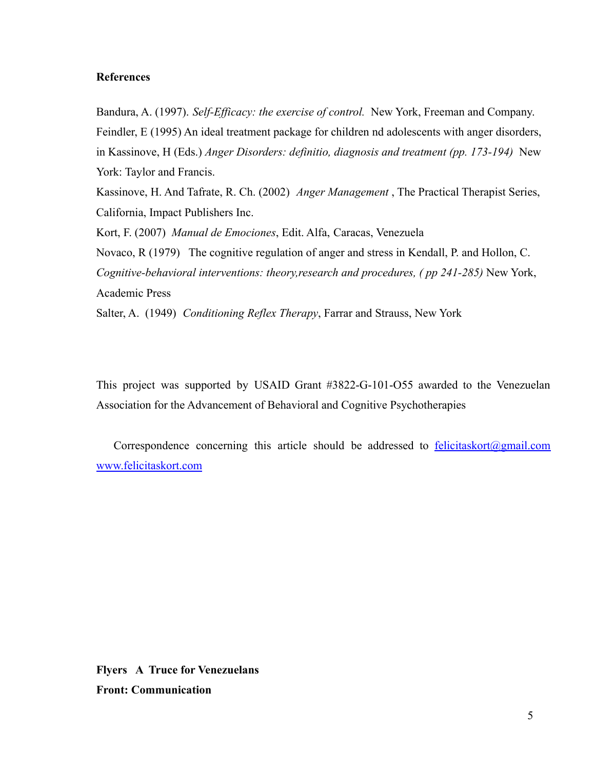# **References**

Bandura, A. (1997). *Self-Efficacy: the exercise of control.* New York, Freeman and Company. Feindler, E (1995) An ideal treatment package for children nd adolescents with anger disorders, in Kassinove, H (Eds.) *Anger Disorders: definitio, diagnosis and treatment (pp. 173-194)* New York: Taylor and Francis.

Kassinove, H. And Tafrate, R. Ch. (2002) *Anger Management* , The Practical Therapist Series, California, Impact Publishers Inc.

Kort, F. (2007) *Manual de Emociones*, Edit. Alfa, Caracas, Venezuela

Novaco, R (1979) The cognitive regulation of anger and stress in Kendall, P. and Hollon, C. *Cognitive-behavioral interventions: theory,research and procedures, ( pp 241-285)* New York, Academic Press

Salter, A. (1949) *Conditioning Reflex Therapy*, Farrar and Strauss, New York

This project was supported by USAID Grant #3822-G-101-O55 awarded to the Venezuelan Association for the Advancement of Behavioral and Cognitive Psychotherapies

Correspondence concerning this article should be addressed to  $felicitaskort@gmail.com$ [www.felicitaskort.com](http://www.felicitaskort.com)

**Flyers A Truce for Venezuelans Front: Communication**